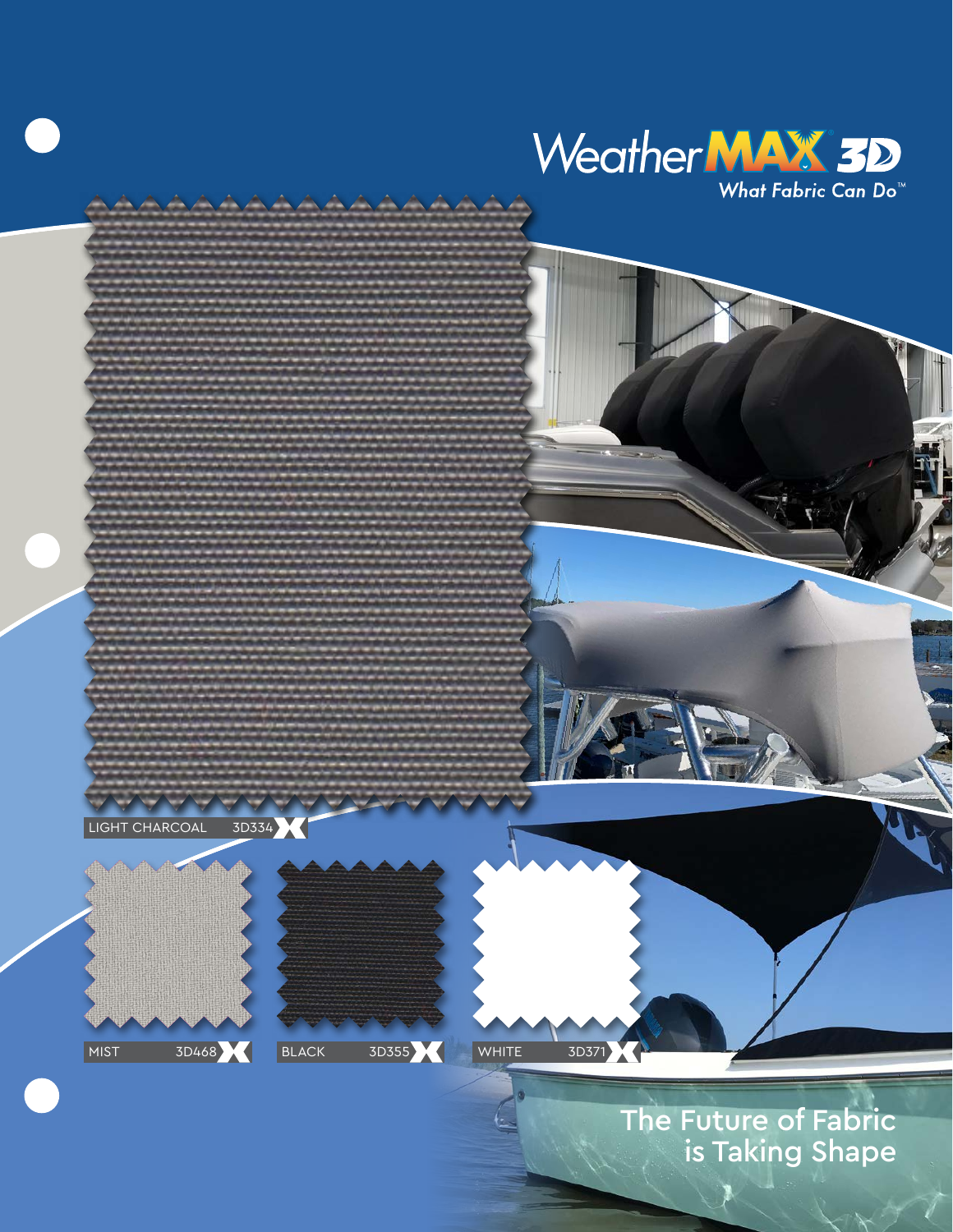



The Future of Fabric is Taking Shape